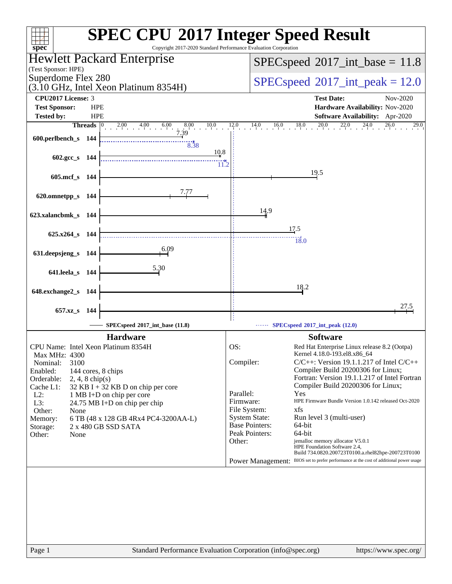| $spec^*$                                    |            | Copyright 2017-2020 Standard Performance Evaluation Corporation       |                        | <b>SPEC CPU®2017 Integer Speed Result</b>                                                        |
|---------------------------------------------|------------|-----------------------------------------------------------------------|------------------------|--------------------------------------------------------------------------------------------------|
|                                             |            | <b>Hewlett Packard Enterprise</b>                                     |                        | $SPEC speed^{\circ}2017\_int\_base = 11.8$                                                       |
| (Test Sponsor: HPE)                         |            |                                                                       |                        |                                                                                                  |
| Superdome Flex 280                          |            | (3.10 GHz, Intel Xeon Platinum 8354H)                                 |                        | $SPEC speed^{\circ}2017\_int\_peak = 12.0$                                                       |
| <b>CPU2017 License: 3</b>                   |            |                                                                       |                        | <b>Test Date:</b><br>Nov-2020                                                                    |
| <b>Test Sponsor:</b>                        | <b>HPE</b> |                                                                       |                        | Hardware Availability: Nov-2020                                                                  |
| <b>Tested by:</b>                           | <b>HPE</b> |                                                                       |                        | Software Availability: Apr-2020                                                                  |
| <b>Threads</b>                              |            | $2.00$ $4.00$ $6.00$ $8.00$ $10.0$ $12.0$ $14.0$ $16.0$ $18.0$ $20.0$ |                        | $22.0$ $24.0$ $26.0$<br>29.0                                                                     |
| 600.perlbench_s 144                         |            | 8.38                                                                  |                        |                                                                                                  |
|                                             |            | 10.8                                                                  |                        |                                                                                                  |
| 602.gcc_s 144                               |            | $\overline{11.2}$                                                     |                        |                                                                                                  |
| 605.mcf_s 144                               |            |                                                                       |                        | 19.5                                                                                             |
|                                             |            |                                                                       |                        |                                                                                                  |
| 620.omnetpp_s 144                           |            | 7.77                                                                  |                        |                                                                                                  |
|                                             |            |                                                                       |                        |                                                                                                  |
| 623.xalancbmk_s 144                         |            |                                                                       |                        | 14.9                                                                                             |
|                                             |            |                                                                       |                        | 17.5                                                                                             |
| 625.x264_s 144                              |            |                                                                       |                        | 18.0                                                                                             |
|                                             |            | 6.09                                                                  |                        |                                                                                                  |
| 631.deepsjeng_s 144                         |            |                                                                       |                        |                                                                                                  |
| 641.leela_s 144                             |            | <u>5.30</u>                                                           |                        |                                                                                                  |
|                                             |            |                                                                       |                        |                                                                                                  |
| 648.exchange2_s 144                         |            |                                                                       |                        | 18.2                                                                                             |
|                                             |            |                                                                       |                        |                                                                                                  |
| 657.xz_s 144                                |            |                                                                       |                        | 27.5                                                                                             |
|                                             |            | SPECspeed®2017_int_base (11.8)                                        |                        | SPECspeed®2017_int_peak (12.0)                                                                   |
|                                             |            | <b>Hardware</b>                                                       |                        | <b>Software</b>                                                                                  |
| CPU Name: Intel Xeon Platinum 8354H         |            |                                                                       | OS:                    | Red Hat Enterprise Linux release 8.2 (Ootpa)                                                     |
| Max MHz: 4300                               |            |                                                                       |                        | Kernel 4.18.0-193.el8.x86_64                                                                     |
| 3100<br>Nominal:                            |            |                                                                       | Compiler:              | $C/C++$ : Version 19.1.1.217 of Intel $C/C++$<br>Compiler Build 20200306 for Linux;              |
| Enabled:<br>Orderable:<br>$2, 4, 8$ chip(s) |            | 144 cores, 8 chips                                                    |                        | Fortran: Version 19.1.1.217 of Intel Fortran                                                     |
| Cache L1:                                   |            | $32$ KB I + 32 KB D on chip per core                                  |                        | Compiler Build 20200306 for Linux;                                                               |
| $L2$ :                                      |            | 1 MB I+D on chip per core                                             | Parallel:<br>Firmware: | Yes<br>HPE Firmware Bundle Version 1.0.142 released Oct-2020                                     |
| L3:<br>Other:<br>None                       |            | 24.75 MB I+D on chip per chip                                         |                        | File System:<br>xfs                                                                              |
| Memory:                                     |            | 6 TB (48 x 128 GB 4Rx4 PC4-3200AA-L)                                  |                        | <b>System State:</b><br>Run level 3 (multi-user)                                                 |
| Storage:                                    |            | 2 x 480 GB SSD SATA                                                   |                        | <b>Base Pointers:</b><br>64-bit                                                                  |
| Other:<br>None                              |            |                                                                       | Other:                 | Peak Pointers:<br>64-bit<br>jemalloc memory allocator V5.0.1                                     |
|                                             |            |                                                                       |                        | HPE Foundation Software 2.4,<br>Build 734.0820.200723T0100.a.rhel82hpe-200723T0100               |
|                                             |            |                                                                       |                        | BIOS set to prefer performance at the cost of additional power usage<br><b>Power Management:</b> |
|                                             |            |                                                                       |                        |                                                                                                  |
| Page 1                                      |            | Standard Performance Evaluation Corporation (info@spec.org)           |                        | https://www.spec.org/                                                                            |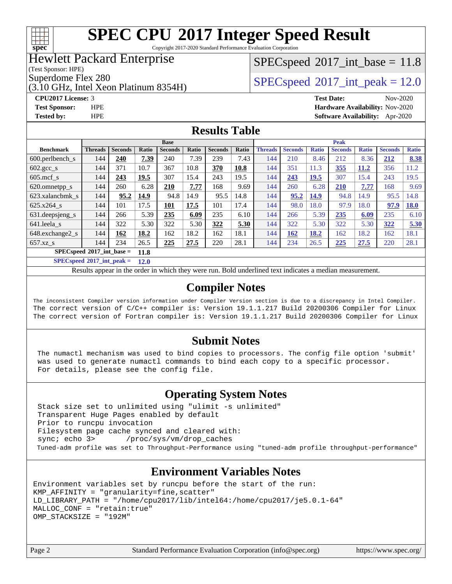

Copyright 2017-2020 Standard Performance Evaluation Corporation

### Hewlett Packard Enterprise

(Test Sponsor: HPE)

(3.10 GHz, Intel Xeon Platinum 8354H)

### $SPECspeed^{\circ}2017\_int\_base = 11.8$  $SPECspeed^{\circ}2017\_int\_base = 11.8$

Superdome Flex 280<br>  $SPECspeed^{\circ}2017$  $SPECspeed^{\circ}2017$  int\_peak = 12.0

**[CPU2017 License:](http://www.spec.org/auto/cpu2017/Docs/result-fields.html#CPU2017License)** 3 **[Test Date:](http://www.spec.org/auto/cpu2017/Docs/result-fields.html#TestDate)** Nov-2020 **[Test Sponsor:](http://www.spec.org/auto/cpu2017/Docs/result-fields.html#TestSponsor)** HPE **[Hardware Availability:](http://www.spec.org/auto/cpu2017/Docs/result-fields.html#HardwareAvailability)** Nov-2020 **[Tested by:](http://www.spec.org/auto/cpu2017/Docs/result-fields.html#Testedby)** HPE **[Software Availability:](http://www.spec.org/auto/cpu2017/Docs/result-fields.html#SoftwareAvailability)** Apr-2020

### **[Results Table](http://www.spec.org/auto/cpu2017/Docs/result-fields.html#ResultsTable)**

|                                     |                |                |       | <b>Base</b>    |       |                |       |                |                |              | <b>Peak</b>    |              |                |              |
|-------------------------------------|----------------|----------------|-------|----------------|-------|----------------|-------|----------------|----------------|--------------|----------------|--------------|----------------|--------------|
| <b>Benchmark</b>                    | <b>Threads</b> | <b>Seconds</b> | Ratio | <b>Seconds</b> | Ratio | <b>Seconds</b> | Ratio | <b>Threads</b> | <b>Seconds</b> | <b>Ratio</b> | <b>Seconds</b> | <b>Ratio</b> | <b>Seconds</b> | <b>Ratio</b> |
| 600.perlbench s                     | 144            | 240            | 7.39  | 240            | 7.39  | 239            | 7.43  | 144            | 210            | 8.46         | 212            | 8.36         | 212            | 8.38         |
| $602 \text{.} \text{gcc}\text{.}$ s | 144            | 371            | 10.7  | 367            | 10.8  | 370            | 10.8  | 144            | 351            | 11.3         | 355            | 11.2         | 356            | 11.2         |
| $605$ .mcf s                        | 144            | 243            | 19.5  | 307            | 15.4  | 243            | 19.5  | 144            | 243            | <b>19.5</b>  | 307            | 15.4         | 243            | 19.5         |
| 620.omnetpp_s                       | 144            | 260            | 6.28  | 210            | 7.77  | 168            | 9.69  | 144            | 260            | 6.28         | 210            | 7.77         | 168            | 9.69         |
| 623.xalancbmk s                     | 144            | 95.2           | 14.9  | 94.8           | 14.9  | 95.5           | 14.8  | 144            | 95.2           | 14.9         | 94.8           | 14.9         | 95.5           | 14.8         |
| 625.x264 s                          | 144            | 101            | 17.5  | 101            | 17.5  | 101            | 17.4  | 144            | 98.0           | 18.0         | 97.9           | 18.0         | 97.9           | <b>18.0</b>  |
| $631.$ deepsjeng $s$                | 144            | 266            | 5.39  | 235            | 6.09  | 235            | 6.10  | 144            | 266            | 5.39         | 235            | 6.09         | 235            | 6.10         |
| 641.leela s                         | 144            | 322            | 5.30  | 322            | 5.30  | 322            | 5.30  | 144            | 322            | 5.30         | 322            | 5.30         | 322            | 5.30         |
| 648.exchange2 s                     | 144            | 162            | 18.2  | 162            | 18.2  | 162            | 18.1  | 144            | <b>162</b>     | 18.2         | 162            | 18.2         | 162            | 18.1         |
| $657.xz$ s                          | 144            | 234            | 26.5  | 225            | 27.5  | 220            | 28.1  | 144            | 234            | 26.5         | 225            | 27.5         | 220            | 28.1         |
| $SPECspeed*2017$ int base =<br>11.8 |                |                |       |                |       |                |       |                |                |              |                |              |                |              |

**[SPECspeed](http://www.spec.org/auto/cpu2017/Docs/result-fields.html#SPECspeed2017intpeak)[2017\\_int\\_peak =](http://www.spec.org/auto/cpu2017/Docs/result-fields.html#SPECspeed2017intpeak) 12.0**

Results appear in the [order in which they were run.](http://www.spec.org/auto/cpu2017/Docs/result-fields.html#RunOrder) Bold underlined text [indicates a median measurement](http://www.spec.org/auto/cpu2017/Docs/result-fields.html#Median).

### **[Compiler Notes](http://www.spec.org/auto/cpu2017/Docs/result-fields.html#CompilerNotes)**

The inconsistent Compiler version information under Compiler Version section is due to a discrepancy in Intel Compiler. The correct version of C/C++ compiler is: Version 19.1.1.217 Build 20200306 Compiler for Linux The correct version of Fortran compiler is: Version 19.1.1.217 Build 20200306 Compiler for Linux

### **[Submit Notes](http://www.spec.org/auto/cpu2017/Docs/result-fields.html#SubmitNotes)**

 The numactl mechanism was used to bind copies to processors. The config file option 'submit' was used to generate numactl commands to bind each copy to a specific processor. For details, please see the config file.

### **[Operating System Notes](http://www.spec.org/auto/cpu2017/Docs/result-fields.html#OperatingSystemNotes)**

 Stack size set to unlimited using "ulimit -s unlimited" Transparent Huge Pages enabled by default Prior to runcpu invocation Filesystem page cache synced and cleared with: sync; echo 3> /proc/sys/vm/drop\_caches Tuned-adm profile was set to Throughput-Performance using "tuned-adm profile throughput-performance"

### **[Environment Variables Notes](http://www.spec.org/auto/cpu2017/Docs/result-fields.html#EnvironmentVariablesNotes)**

```
Environment variables set by runcpu before the start of the run:
KMP_AFFINITY = "granularity=fine,scatter"
LD_LIBRARY_PATH = "/home/cpu2017/lib/intel64:/home/cpu2017/je5.0.1-64"
MALLOC_CONF = "retain:true"
OMP_STACKSIZE = "192M"
```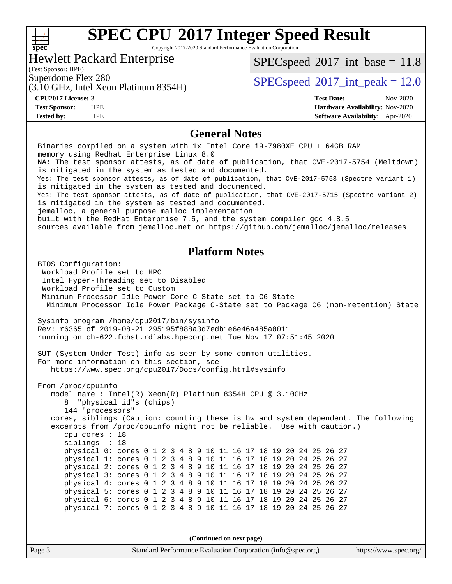### **[SPEC CPU](http://www.spec.org/auto/cpu2017/Docs/result-fields.html#SPECCPU2017IntegerSpeedResult)[2017 Integer Speed Result](http://www.spec.org/auto/cpu2017/Docs/result-fields.html#SPECCPU2017IntegerSpeedResult)** Copyright 2017-2020 Standard Performance Evaluation Corporation Hewlett Packard Enterprise

(Test Sponsor: HPE)

(3.10 GHz, Intel Xeon Platinum 8354H)

 $SPECspeed^{\circ}2017\_int\_base = 11.8$  $SPECspeed^{\circ}2017\_int\_base = 11.8$ 

Superdome Flex 280  $SPEC speed^{\circ}2017$ \_int\_peak = 12.0

**[spec](http://www.spec.org/)**

 $\pm\,\mu$ 

**[Tested by:](http://www.spec.org/auto/cpu2017/Docs/result-fields.html#Testedby)** HPE **[Software Availability:](http://www.spec.org/auto/cpu2017/Docs/result-fields.html#SoftwareAvailability)** Apr-2020

**[CPU2017 License:](http://www.spec.org/auto/cpu2017/Docs/result-fields.html#CPU2017License)** 3 **[Test Date:](http://www.spec.org/auto/cpu2017/Docs/result-fields.html#TestDate)** Nov-2020 **[Test Sponsor:](http://www.spec.org/auto/cpu2017/Docs/result-fields.html#TestSponsor)** HPE **[Hardware Availability:](http://www.spec.org/auto/cpu2017/Docs/result-fields.html#HardwareAvailability)** Nov-2020

### **[General Notes](http://www.spec.org/auto/cpu2017/Docs/result-fields.html#GeneralNotes)**

Page 3 Standard Performance Evaluation Corporation [\(info@spec.org\)](mailto:info@spec.org) <https://www.spec.org/> Binaries compiled on a system with 1x Intel Core i9-7980XE CPU + 64GB RAM memory using Redhat Enterprise Linux 8.0 NA: The test sponsor attests, as of date of publication, that CVE-2017-5754 (Meltdown) is mitigated in the system as tested and documented. Yes: The test sponsor attests, as of date of publication, that CVE-2017-5753 (Spectre variant 1) is mitigated in the system as tested and documented. Yes: The test sponsor attests, as of date of publication, that CVE-2017-5715 (Spectre variant 2) is mitigated in the system as tested and documented. jemalloc, a general purpose malloc implementation built with the RedHat Enterprise 7.5, and the system compiler gcc 4.8.5 sources available from jemalloc.net or<https://github.com/jemalloc/jemalloc/releases> **[Platform Notes](http://www.spec.org/auto/cpu2017/Docs/result-fields.html#PlatformNotes)** BIOS Configuration: Workload Profile set to HPC Intel Hyper-Threading set to Disabled Workload Profile set to Custom Minimum Processor Idle Power Core C-State set to C6 State Minimum Processor Idle Power Package C-State set to Package C6 (non-retention) State Sysinfo program /home/cpu2017/bin/sysinfo Rev: r6365 of 2019-08-21 295195f888a3d7edb1e6e46a485a0011 running on ch-622.fchst.rdlabs.hpecorp.net Tue Nov 17 07:51:45 2020 SUT (System Under Test) info as seen by some common utilities. For more information on this section, see <https://www.spec.org/cpu2017/Docs/config.html#sysinfo> From /proc/cpuinfo model name : Intel(R) Xeon(R) Platinum 8354H CPU @ 3.10GHz 8 "physical id"s (chips) 144 "processors" cores, siblings (Caution: counting these is hw and system dependent. The following excerpts from /proc/cpuinfo might not be reliable. Use with caution.) cpu cores : 18 siblings : 18 physical 0: cores 0 1 2 3 4 8 9 10 11 16 17 18 19 20 24 25 26 27 physical 1: cores 0 1 2 3 4 8 9 10 11 16 17 18 19 20 24 25 26 27 physical 2: cores 0 1 2 3 4 8 9 10 11 16 17 18 19 20 24 25 26 27 physical 3: cores 0 1 2 3 4 8 9 10 11 16 17 18 19 20 24 25 26 27 physical 4: cores 0 1 2 3 4 8 9 10 11 16 17 18 19 20 24 25 26 27 physical 5: cores 0 1 2 3 4 8 9 10 11 16 17 18 19 20 24 25 26 27 physical 6: cores 0 1 2 3 4 8 9 10 11 16 17 18 19 20 24 25 26 27 physical 7: cores 0 1 2 3 4 8 9 10 11 16 17 18 19 20 24 25 26 27 **(Continued on next page)**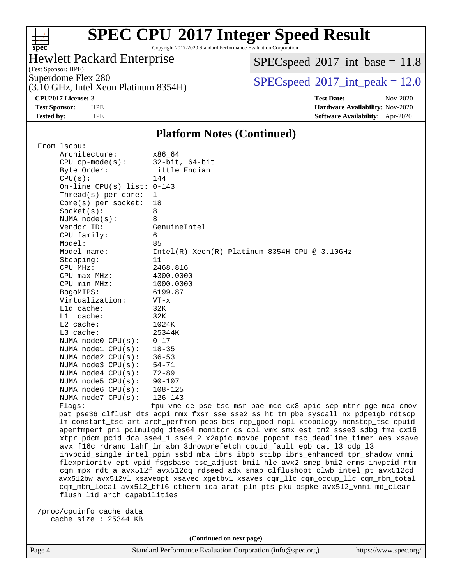

Copyright 2017-2020 Standard Performance Evaluation Corporation

### Hewlett Packard Enterprise

 $SPEC speed$ <sup>®</sup> $2017$ \_int\_base = 11.8

(Test Sponsor: HPE)

(3.10 GHz, Intel Xeon Platinum 8354H)

Superdome Flex 280<br>  $SPECspeed^{\circ}2017\_int\_peak = 12.0$  $SPECspeed^{\circ}2017\_int\_peak = 12.0$ 

**[CPU2017 License:](http://www.spec.org/auto/cpu2017/Docs/result-fields.html#CPU2017License)** 3 **[Test Date:](http://www.spec.org/auto/cpu2017/Docs/result-fields.html#TestDate)** Nov-2020 **[Test Sponsor:](http://www.spec.org/auto/cpu2017/Docs/result-fields.html#TestSponsor)** HPE **[Hardware Availability:](http://www.spec.org/auto/cpu2017/Docs/result-fields.html#HardwareAvailability)** Nov-2020 **[Tested by:](http://www.spec.org/auto/cpu2017/Docs/result-fields.html#Testedby)** HPE **[Software Availability:](http://www.spec.org/auto/cpu2017/Docs/result-fields.html#SoftwareAvailability)** Apr-2020

### **[Platform Notes \(Continued\)](http://www.spec.org/auto/cpu2017/Docs/result-fields.html#PlatformNotes)**

| From 1scpu:                  |                                                                                      |
|------------------------------|--------------------------------------------------------------------------------------|
| Architecture:                | x86_64                                                                               |
| $CPU$ op-mode(s):            | $32$ -bit, $64$ -bit                                                                 |
| Byte Order:                  | Little Endian                                                                        |
| CPU(s):                      | 144                                                                                  |
| On-line CPU(s) list: $0-143$ |                                                                                      |
| Thread( $s$ ) per core:      | $\mathbf{1}$                                                                         |
| $Core(s)$ per socket:        | 18                                                                                   |
| Socket(s):                   | 8                                                                                    |
| NUMA node(s):                | 8                                                                                    |
| Vendor ID:                   | GenuineIntel                                                                         |
| CPU family:                  | 6                                                                                    |
| Model:                       | 85                                                                                   |
| Model name:                  | Intel(R) Xeon(R) Platinum 8354H CPU @ 3.10GHz                                        |
| Stepping:                    | 11                                                                                   |
| CPU MHz:                     | 2468.816                                                                             |
| CPU max MHz:                 | 4300.0000                                                                            |
| CPU min MHz:                 | 1000.0000                                                                            |
| BogoMIPS:                    | 6199.87                                                                              |
| Virtualization:              | VT-x                                                                                 |
| L1d cache:                   | 32K                                                                                  |
| Lli cache:                   | 32K                                                                                  |
| $L2$ cache:                  | 1024K                                                                                |
| $L3$ cache:                  | 25344K                                                                               |
| NUMA node0 CPU(s):           | $0 - 17$                                                                             |
| NUMA nodel $CPU(s):$         | $18 - 35$                                                                            |
| NUMA $node2$ $CPU(s)$ :      | $36 - 53$                                                                            |
| NUMA node3 CPU(s):           | $54 - 71$                                                                            |
| NUMA node4 CPU(s):           | $72 - 89$                                                                            |
| NUMA $node5$ $CPU(s)$ :      | $90 - 107$                                                                           |
| NUMA node6 CPU(s):           | 108-125                                                                              |
| NUMA node7 CPU(s):           | $126 - 143$                                                                          |
| Flaqs:                       | fpu vme de pse tsc msr pae mce cx8 apic sep mtrr pge mca cmov                        |
|                              | pat pse36 clflush dts acpi mmx fxsr sse sse2 ss ht tm pbe syscall nx pdpelgb rdtscp  |
|                              | lm constant_tsc art arch_perfmon pebs bts rep_good nopl xtopology nonstop_tsc cpuid  |
|                              | aperfmperf pni pclmulqdq dtes64 monitor ds_cpl vmx smx est tm2 ssse3 sdbg fma cx16   |
|                              | xtpr pdcm pcid dca sse4_1 sse4_2 x2apic movbe popcnt tsc_deadline_timer aes xsave    |
|                              | avx f16c rdrand lahf_lm abm 3dnowprefetch cpuid_fault epb cat_13 cdp_13              |
|                              | invpcid_single intel_ppin ssbd mba ibrs ibpb stibp ibrs_enhanced tpr_shadow vnmi     |
|                              | flexpriority ept vpid fsgsbase tsc_adjust bmil hle avx2 smep bmi2 erms invpcid rtm   |
|                              | cqm mpx rdt_a avx512f avx512dq rdseed adx smap clflushopt clwb intel_pt avx512cd     |
|                              | avx512bw avx512vl xsaveopt xsavec xgetbvl xsaves cqm_llc cqm_occup_llc cqm_mbm_total |
|                              | cqm_mbm_local avx512_bf16 dtherm ida arat pln pts pku ospke avx512_vnni md_clear     |
| flush_11d arch_capabilities  |                                                                                      |
|                              |                                                                                      |

 /proc/cpuinfo cache data cache size : 25344 KB

**(Continued on next page)**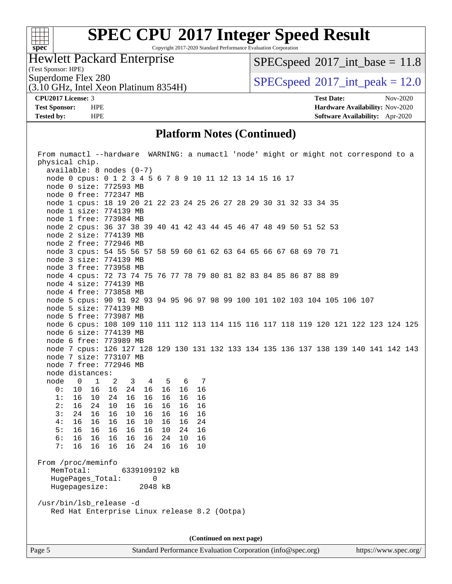

Copyright 2017-2020 Standard Performance Evaluation Corporation

Hewlett Packard Enterprise

(3.10 GHz, Intel Xeon Platinum 8354H)

 $SPEC speed$ <sup>®</sup> $2017$ \_int\_base = 11.8

(Test Sponsor: HPE)

Superdome Flex 280<br>  $SPECspeed^{\circ}2017\_int\_peak = 12.0$  $SPECspeed^{\circ}2017\_int\_peak = 12.0$ 

**[CPU2017 License:](http://www.spec.org/auto/cpu2017/Docs/result-fields.html#CPU2017License)** 3 **[Test Date:](http://www.spec.org/auto/cpu2017/Docs/result-fields.html#TestDate)** Nov-2020 **[Test Sponsor:](http://www.spec.org/auto/cpu2017/Docs/result-fields.html#TestSponsor)** HPE **[Hardware Availability:](http://www.spec.org/auto/cpu2017/Docs/result-fields.html#HardwareAvailability)** Nov-2020 **[Tested by:](http://www.spec.org/auto/cpu2017/Docs/result-fields.html#Testedby)** HPE **[Software Availability:](http://www.spec.org/auto/cpu2017/Docs/result-fields.html#SoftwareAvailability)** Apr-2020

### **[Platform Notes \(Continued\)](http://www.spec.org/auto/cpu2017/Docs/result-fields.html#PlatformNotes)**

| From numactl --hardware WARNING: a numactl 'node' might or might not correspond to a |  |  |  |  |
|--------------------------------------------------------------------------------------|--|--|--|--|
| physical chip.                                                                       |  |  |  |  |
| $available: 8 nodes (0-7)$                                                           |  |  |  |  |
| node 0 cpus: 0 1 2 3 4 5 6 7 8 9 10 11 12 13 14 15 16 17                             |  |  |  |  |
| node 0 size: 772593 MB                                                               |  |  |  |  |
| node 0 free: 772347 MB                                                               |  |  |  |  |
| node 1 cpus: 18 19 20 21 22 23 24 25 26 27 28 29 30 31 32 33 34 35                   |  |  |  |  |
| node 1 size: 774139 MB                                                               |  |  |  |  |
| node 1 free: 773984 MB                                                               |  |  |  |  |
| node 2 cpus: 36 37 38 39 40 41 42 43 44 45 46 47 48 49 50 51 52 53                   |  |  |  |  |
| node 2 size: 774139 MB                                                               |  |  |  |  |
| node 2 free: 772946 MB                                                               |  |  |  |  |
| node 3 cpus: 54 55 56 57 58 59 60 61 62 63 64 65 66 67 68 69 70 71                   |  |  |  |  |
| node 3 size: 774139 MB                                                               |  |  |  |  |
| node 3 free: 773958 MB                                                               |  |  |  |  |
| node 4 cpus: 72 73 74 75 76 77 78 79 80 81 82 83 84 85 86 87 88 89                   |  |  |  |  |
| node 4 size: 774139 MB                                                               |  |  |  |  |
| node 4 free: 773858 MB                                                               |  |  |  |  |
| node 5 cpus: 90 91 92 93 94 95 96 97 98 99 100 101 102 103 104 105 106 107           |  |  |  |  |
| node 5 size: 774139 MB                                                               |  |  |  |  |
| node 5 free: 773987 MB                                                               |  |  |  |  |
| node 6 cpus: 108 109 110 111 112 113 114 115 116 117 118 119 120 121 122 123 124 125 |  |  |  |  |
| node 6 size: 774139 MB                                                               |  |  |  |  |
| node 6 free: 773989 MB                                                               |  |  |  |  |
| node 7 cpus: 126 127 128 129 130 131 132 133 134 135 136 137 138 139 140 141 142 143 |  |  |  |  |
| node 7 size: 773107 MB                                                               |  |  |  |  |
| node 7 free: 772946 MB                                                               |  |  |  |  |
| node distances:                                                                      |  |  |  |  |
| node<br>$\overline{0}$<br>$\overline{1}$<br>2 3<br>4 5 6 7                           |  |  |  |  |
| 0: 10 16<br>16<br>24 16 16<br>16 16                                                  |  |  |  |  |
| 1:<br>16 10<br>16<br>16<br>24<br>16<br>16 16                                         |  |  |  |  |
| 2:<br>16 24<br>10<br>16<br>16<br>16<br>16<br>16                                      |  |  |  |  |
| 3:<br>24 16<br>16<br>16<br>10<br>16<br>16<br>16                                      |  |  |  |  |
| 4:<br>16<br>16<br>16<br>16<br>16<br>10<br>16<br>24                                   |  |  |  |  |
| 5:<br>16<br>24 16<br>16 16<br>16<br>16<br>10                                         |  |  |  |  |
| 6:<br>16 16<br>16<br>16<br>16<br>24<br>10 <sub>1</sub><br>16                         |  |  |  |  |
| 7:<br>16 16<br>16 24 16<br>16<br>16<br>10                                            |  |  |  |  |
|                                                                                      |  |  |  |  |
| From /proc/meminfo                                                                   |  |  |  |  |
| MemTotal:<br>6339109192 kB                                                           |  |  |  |  |
| HugePages_Total: 0                                                                   |  |  |  |  |
| Hugepagesize:<br>2048 kB                                                             |  |  |  |  |
|                                                                                      |  |  |  |  |
| /usr/bin/lsb_release -d                                                              |  |  |  |  |
| Red Hat Enterprise Linux release 8.2 (Ootpa)                                         |  |  |  |  |
|                                                                                      |  |  |  |  |
|                                                                                      |  |  |  |  |
| (Continued on next page)                                                             |  |  |  |  |

Page 5 Standard Performance Evaluation Corporation [\(info@spec.org\)](mailto:info@spec.org) <https://www.spec.org/>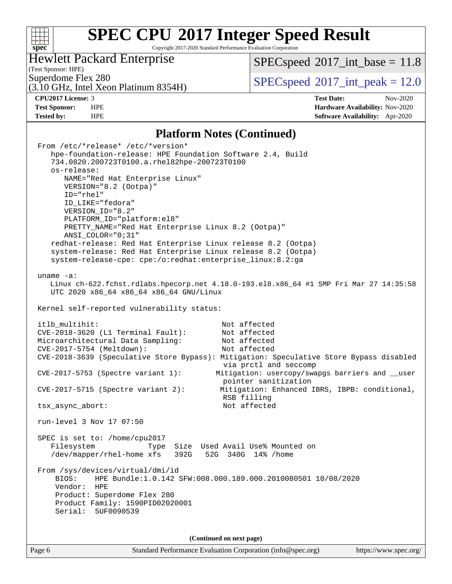### $\pm$ **[spec](http://www.spec.org/)**

# **[SPEC CPU](http://www.spec.org/auto/cpu2017/Docs/result-fields.html#SPECCPU2017IntegerSpeedResult)[2017 Integer Speed Result](http://www.spec.org/auto/cpu2017/Docs/result-fields.html#SPECCPU2017IntegerSpeedResult)**

Copyright 2017-2020 Standard Performance Evaluation Corporation

### Hewlett Packard Enterprise

(3.10 GHz, Intel Xeon Platinum 8354H)

 $SPEC speed$ <sup>®</sup> $2017$ \_int\_base = 11.8

(Test Sponsor: HPE)

 $SPEC speed$ <sup>®</sup> $2017$ \_int\_peak = 12.0

**[CPU2017 License:](http://www.spec.org/auto/cpu2017/Docs/result-fields.html#CPU2017License)** 3 **[Test Date:](http://www.spec.org/auto/cpu2017/Docs/result-fields.html#TestDate)** Nov-2020 **[Test Sponsor:](http://www.spec.org/auto/cpu2017/Docs/result-fields.html#TestSponsor)** HPE **[Hardware Availability:](http://www.spec.org/auto/cpu2017/Docs/result-fields.html#HardwareAvailability)** Nov-2020 **[Tested by:](http://www.spec.org/auto/cpu2017/Docs/result-fields.html#Testedby)** HPE **[Software Availability:](http://www.spec.org/auto/cpu2017/Docs/result-fields.html#SoftwareAvailability)** Apr-2020

### **[Platform Notes \(Continued\)](http://www.spec.org/auto/cpu2017/Docs/result-fields.html#PlatformNotes)**

|              | (Continued on next page)                                                                                                                                                                                                                                                                                                                   |
|--------------|--------------------------------------------------------------------------------------------------------------------------------------------------------------------------------------------------------------------------------------------------------------------------------------------------------------------------------------------|
|              | /dev/mapper/rhel-home xfs 392G 52G 340G 14% /home<br>From /sys/devices/virtual/dmi/id<br>HPE Bundle:1.0.142 SFW:008.000.189.000.2010080501 10/08/2020<br>BIOS:<br>Vendor:<br>HPE<br>Product: Superdome Flex 280<br>Product Family: 1590PID02020001<br>5UF0090539<br>Serial:                                                                |
|              | SPEC is set to: /home/cpu2017<br>Filesystem<br>Type Size Used Avail Use% Mounted on                                                                                                                                                                                                                                                        |
|              | run-level 3 Nov 17 07:50                                                                                                                                                                                                                                                                                                                   |
|              | $CVE-2017-5715$ (Spectre variant 2):<br>Mitigation: Enhanced IBRS, IBPB: conditional,<br>RSB filling<br>Not affected<br>tsx_async_abort:                                                                                                                                                                                                   |
|              | Mitigation: usercopy/swapgs barriers and __user<br>$CVE-2017-5753$ (Spectre variant 1):<br>pointer sanitization                                                                                                                                                                                                                            |
|              | CVE-2018-3620 (L1 Terminal Fault):<br>Not affected<br>Microarchitectural Data Sampling:<br>Not affected<br>CVE-2017-5754 (Meltdown):<br>Not affected<br>CVE-2018-3639 (Speculative Store Bypass): Mitigation: Speculative Store Bypass disabled<br>via prctl and seccomp                                                                   |
|              | itlb_multihit:<br>Not affected                                                                                                                                                                                                                                                                                                             |
|              | UTC 2020 x86_64 x86_64 x86_64 GNU/Linux<br>Kernel self-reported vulnerability status:                                                                                                                                                                                                                                                      |
| uname $-a$ : | Linux ch-622.fchst.rdlabs.hpecorp.net 4.18.0-193.el8.x86_64 #1 SMP Fri Mar 27 14:35:58                                                                                                                                                                                                                                                     |
|              | ID_LIKE="fedora"<br>VERSION_ID="8.2"<br>PLATFORM_ID="platform:el8"<br>PRETTY_NAME="Red Hat Enterprise Linux 8.2 (Ootpa)"<br>ANSI_COLOR="0;31"<br>redhat-release: Red Hat Enterprise Linux release 8.2 (Ootpa)<br>system-release: Red Hat Enterprise Linux release 8.2 (Ootpa)<br>system-release-cpe: cpe:/o:redhat:enterprise_linux:8.2:ga |
|              | From /etc/*release* /etc/*version*<br>hpe-foundation-release: HPE Foundation Software 2.4, Build<br>734.0820.200723T0100.a.rhel82hpe-200723T0100<br>os-release:<br>NAME="Red Hat Enterprise Linux"<br>VERSION="8.2 (Ootpa)"<br>ID="rhel"                                                                                                   |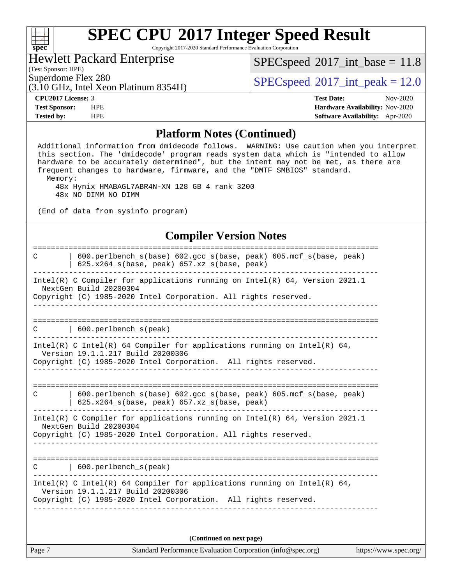Copyright 2017-2020 Standard Performance Evaluation Corporation

### Hewlett Packard Enterprise

(3.10 GHz, Intel Xeon Platinum 8354H)

 $SPECspeed^{\circledcirc}2017\_int\_base = 11.8$  $SPECspeed^{\circledcirc}2017\_int\_base = 11.8$ 

(Test Sponsor: HPE)

**[spec](http://www.spec.org/)**

 $\pm \gamma$ 

Superdome Flex 280<br>  $SPEC speed^{\circ}2017$ \_int\_peak = 12.0

**[CPU2017 License:](http://www.spec.org/auto/cpu2017/Docs/result-fields.html#CPU2017License)** 3 **[Test Date:](http://www.spec.org/auto/cpu2017/Docs/result-fields.html#TestDate)** Nov-2020 **[Test Sponsor:](http://www.spec.org/auto/cpu2017/Docs/result-fields.html#TestSponsor)** HPE **[Hardware Availability:](http://www.spec.org/auto/cpu2017/Docs/result-fields.html#HardwareAvailability)** Nov-2020 **[Tested by:](http://www.spec.org/auto/cpu2017/Docs/result-fields.html#Testedby)** HPE **[Software Availability:](http://www.spec.org/auto/cpu2017/Docs/result-fields.html#SoftwareAvailability)** Apr-2020

#### **[Platform Notes \(Continued\)](http://www.spec.org/auto/cpu2017/Docs/result-fields.html#PlatformNotes)**

 Additional information from dmidecode follows. WARNING: Use caution when you interpret this section. The 'dmidecode' program reads system data which is "intended to allow hardware to be accurately determined", but the intent may not be met, as there are frequent changes to hardware, firmware, and the "DMTF SMBIOS" standard. Memory: 48x Hynix HMABAGL7ABR4N-XN 128 GB 4 rank 3200 48x NO DIMM NO DIMM (End of data from sysinfo program) **[Compiler Version Notes](http://www.spec.org/auto/cpu2017/Docs/result-fields.html#CompilerVersionNotes)** ============================================================================== C | 600.perlbench\_s(base) 602.gcc\_s(base, peak) 605.mcf\_s(base, peak) | 625.x264\_s(base, peak) 657.xz\_s(base, peak) ------------------------------------------------------------------------------ Intel(R) C Compiler for applications running on Intel(R) 64, Version 2021.1 NextGen Build 20200304 Copyright (C) 1985-2020 Intel Corporation. All rights reserved. ------------------------------------------------------------------------------ ============================================================================== C | 600.perlbench\_s(peak) ------------------------------------------------------------------------------ Intel(R) C Intel(R) 64 Compiler for applications running on Intel(R) 64, Version 19.1.1.217 Build 20200306 Copyright (C) 1985-2020 Intel Corporation. All rights reserved. ------------------------------------------------------------------------------ ============================================================================== C | 600.perlbench\_s(base) 602.gcc\_s(base, peak) 605.mcf\_s(base, peak) | 625.x264\_s(base, peak) 657.xz\_s(base, peak) ------------------------------------------------------------------------------ Intel(R) C Compiler for applications running on Intel(R) 64, Version 2021.1 NextGen Build 20200304 Copyright (C) 1985-2020 Intel Corporation. All rights reserved. ------------------------------------------------------------------------------ ============================================================================== C | 600.perlbench\_s(peak) ------------------------------------------------------------------------------ Intel(R) C Intel(R) 64 Compiler for applications running on Intel(R)  $64$ , Version 19.1.1.217 Build 20200306 Copyright (C) 1985-2020 Intel Corporation. All rights reserved. ------------------------------------------------------------------------------

**(Continued on next page)**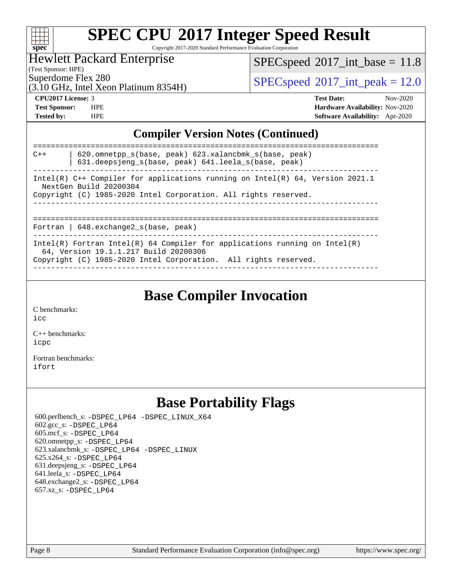| S | 0 | æ | C |  |
|---|---|---|---|--|

Copyright 2017-2020 Standard Performance Evaluation Corporation

### Hewlett Packard Enterprise

 $SPECspeed^{\circ}2017\_int\_base = 11.8$  $SPECspeed^{\circ}2017\_int\_base = 11.8$ 

(Test Sponsor: HPE)

(3.10 GHz, Intel Xeon Platinum 8354H)

Superdome Flex 280  $SPEC speed^{\circ}2017$ \_int\_peak = 12.0

**[CPU2017 License:](http://www.spec.org/auto/cpu2017/Docs/result-fields.html#CPU2017License)** 3 **[Test Date:](http://www.spec.org/auto/cpu2017/Docs/result-fields.html#TestDate)** Nov-2020 **[Test Sponsor:](http://www.spec.org/auto/cpu2017/Docs/result-fields.html#TestSponsor)** HPE **[Hardware Availability:](http://www.spec.org/auto/cpu2017/Docs/result-fields.html#HardwareAvailability)** Nov-2020 **[Tested by:](http://www.spec.org/auto/cpu2017/Docs/result-fields.html#Testedby)** HPE **[Software Availability:](http://www.spec.org/auto/cpu2017/Docs/result-fields.html#SoftwareAvailability)** Apr-2020

### **[Compiler Version Notes \(Continued\)](http://www.spec.org/auto/cpu2017/Docs/result-fields.html#CompilerVersionNotes)**

| 620.omnetpp s(base, peak) 623.xalancbmk s(base, peak)<br>$C++$<br>631.deepsjeng s(base, peak) 641.leela s(base, peak)                                                                  |
|----------------------------------------------------------------------------------------------------------------------------------------------------------------------------------------|
| Intel(R) $C++$ Compiler for applications running on Intel(R) 64, Version 2021.1<br>NextGen Build 20200304<br>Copyright (C) 1985-2020 Intel Corporation. All rights reserved.           |
| Fortran   $648$ . exchange2 $s$ (base, peak)                                                                                                                                           |
| Intel(R) Fortran Intel(R) 64 Compiler for applications running on Intel(R)<br>64, Version 19.1.1.217 Build 20200306<br>Copyright (C) 1985-2020 Intel Corporation. All rights reserved. |

### **[Base Compiler Invocation](http://www.spec.org/auto/cpu2017/Docs/result-fields.html#BaseCompilerInvocation)**

[C benchmarks](http://www.spec.org/auto/cpu2017/Docs/result-fields.html#Cbenchmarks):

[icc](http://www.spec.org/cpu2017/results/res2020q4/cpu2017-20201123-24432.flags.html#user_CCbase_intel_icc_66fc1ee009f7361af1fbd72ca7dcefbb700085f36577c54f309893dd4ec40d12360134090235512931783d35fd58c0460139e722d5067c5574d8eaf2b3e37e92)

[C++ benchmarks:](http://www.spec.org/auto/cpu2017/Docs/result-fields.html#CXXbenchmarks) [icpc](http://www.spec.org/cpu2017/results/res2020q4/cpu2017-20201123-24432.flags.html#user_CXXbase_intel_icpc_c510b6838c7f56d33e37e94d029a35b4a7bccf4766a728ee175e80a419847e808290a9b78be685c44ab727ea267ec2f070ec5dc83b407c0218cded6866a35d07)

[Fortran benchmarks](http://www.spec.org/auto/cpu2017/Docs/result-fields.html#Fortranbenchmarks): [ifort](http://www.spec.org/cpu2017/results/res2020q4/cpu2017-20201123-24432.flags.html#user_FCbase_intel_ifort_8111460550e3ca792625aed983ce982f94888b8b503583aa7ba2b8303487b4d8a21a13e7191a45c5fd58ff318f48f9492884d4413fa793fd88dd292cad7027ca)

### **[Base Portability Flags](http://www.spec.org/auto/cpu2017/Docs/result-fields.html#BasePortabilityFlags)**

 600.perlbench\_s: [-DSPEC\\_LP64](http://www.spec.org/cpu2017/results/res2020q4/cpu2017-20201123-24432.flags.html#b600.perlbench_s_basePORTABILITY_DSPEC_LP64) [-DSPEC\\_LINUX\\_X64](http://www.spec.org/cpu2017/results/res2020q4/cpu2017-20201123-24432.flags.html#b600.perlbench_s_baseCPORTABILITY_DSPEC_LINUX_X64) 602.gcc\_s: [-DSPEC\\_LP64](http://www.spec.org/cpu2017/results/res2020q4/cpu2017-20201123-24432.flags.html#suite_basePORTABILITY602_gcc_s_DSPEC_LP64) 605.mcf\_s: [-DSPEC\\_LP64](http://www.spec.org/cpu2017/results/res2020q4/cpu2017-20201123-24432.flags.html#suite_basePORTABILITY605_mcf_s_DSPEC_LP64) 620.omnetpp\_s: [-DSPEC\\_LP64](http://www.spec.org/cpu2017/results/res2020q4/cpu2017-20201123-24432.flags.html#suite_basePORTABILITY620_omnetpp_s_DSPEC_LP64) 623.xalancbmk\_s: [-DSPEC\\_LP64](http://www.spec.org/cpu2017/results/res2020q4/cpu2017-20201123-24432.flags.html#suite_basePORTABILITY623_xalancbmk_s_DSPEC_LP64) [-DSPEC\\_LINUX](http://www.spec.org/cpu2017/results/res2020q4/cpu2017-20201123-24432.flags.html#b623.xalancbmk_s_baseCXXPORTABILITY_DSPEC_LINUX) 625.x264\_s: [-DSPEC\\_LP64](http://www.spec.org/cpu2017/results/res2020q4/cpu2017-20201123-24432.flags.html#suite_basePORTABILITY625_x264_s_DSPEC_LP64) 631.deepsjeng\_s: [-DSPEC\\_LP64](http://www.spec.org/cpu2017/results/res2020q4/cpu2017-20201123-24432.flags.html#suite_basePORTABILITY631_deepsjeng_s_DSPEC_LP64) 641.leela\_s: [-DSPEC\\_LP64](http://www.spec.org/cpu2017/results/res2020q4/cpu2017-20201123-24432.flags.html#suite_basePORTABILITY641_leela_s_DSPEC_LP64) 648.exchange2\_s: [-DSPEC\\_LP64](http://www.spec.org/cpu2017/results/res2020q4/cpu2017-20201123-24432.flags.html#suite_basePORTABILITY648_exchange2_s_DSPEC_LP64) 657.xz\_s: [-DSPEC\\_LP64](http://www.spec.org/cpu2017/results/res2020q4/cpu2017-20201123-24432.flags.html#suite_basePORTABILITY657_xz_s_DSPEC_LP64)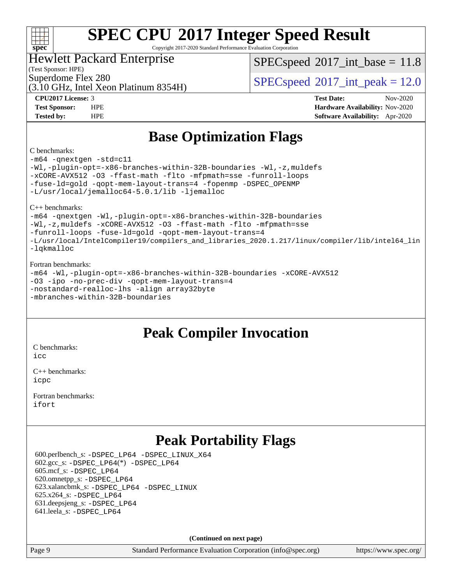

Copyright 2017-2020 Standard Performance Evaluation Corporation

### Hewlett Packard Enterprise

 $SPECspeed^{\circ}2017\_int\_base = 11.8$  $SPECspeed^{\circ}2017\_int\_base = 11.8$ 

(Test Sponsor: HPE)

(3.10 GHz, Intel Xeon Platinum 8354H)

Superdome Flex 280<br>  $SPECspeed*2017$  $SPECspeed*2017$ \_int\_peak = 12.0

**[CPU2017 License:](http://www.spec.org/auto/cpu2017/Docs/result-fields.html#CPU2017License)** 3 **[Test Date:](http://www.spec.org/auto/cpu2017/Docs/result-fields.html#TestDate)** Nov-2020 **[Test Sponsor:](http://www.spec.org/auto/cpu2017/Docs/result-fields.html#TestSponsor)** HPE **[Hardware Availability:](http://www.spec.org/auto/cpu2017/Docs/result-fields.html#HardwareAvailability)** Nov-2020 **[Tested by:](http://www.spec.org/auto/cpu2017/Docs/result-fields.html#Testedby)** HPE **[Software Availability:](http://www.spec.org/auto/cpu2017/Docs/result-fields.html#SoftwareAvailability)** Apr-2020

### **[Base Optimization Flags](http://www.spec.org/auto/cpu2017/Docs/result-fields.html#BaseOptimizationFlags)**

#### [C benchmarks:](http://www.spec.org/auto/cpu2017/Docs/result-fields.html#Cbenchmarks)

[-m64](http://www.spec.org/cpu2017/results/res2020q4/cpu2017-20201123-24432.flags.html#user_CCbase_m64-icc) [-qnextgen](http://www.spec.org/cpu2017/results/res2020q4/cpu2017-20201123-24432.flags.html#user_CCbase_f-qnextgen) [-std=c11](http://www.spec.org/cpu2017/results/res2020q4/cpu2017-20201123-24432.flags.html#user_CCbase_std-icc-std_0e1c27790398a4642dfca32ffe6c27b5796f9c2d2676156f2e42c9c44eaad0c049b1cdb667a270c34d979996257aeb8fc440bfb01818dbc9357bd9d174cb8524) [-Wl,-plugin-opt=-x86-branches-within-32B-boundaries](http://www.spec.org/cpu2017/results/res2020q4/cpu2017-20201123-24432.flags.html#user_CCbase_f-x86-branches-within-32B-boundaries_0098b4e4317ae60947b7b728078a624952a08ac37a3c797dfb4ffeb399e0c61a9dd0f2f44ce917e9361fb9076ccb15e7824594512dd315205382d84209e912f3) [-Wl,-z,muldefs](http://www.spec.org/cpu2017/results/res2020q4/cpu2017-20201123-24432.flags.html#user_CCbase_link_force_multiple1_b4cbdb97b34bdee9ceefcfe54f4c8ea74255f0b02a4b23e853cdb0e18eb4525ac79b5a88067c842dd0ee6996c24547a27a4b99331201badda8798ef8a743f577) [-xCORE-AVX512](http://www.spec.org/cpu2017/results/res2020q4/cpu2017-20201123-24432.flags.html#user_CCbase_f-xCORE-AVX512) [-O3](http://www.spec.org/cpu2017/results/res2020q4/cpu2017-20201123-24432.flags.html#user_CCbase_f-O3) [-ffast-math](http://www.spec.org/cpu2017/results/res2020q4/cpu2017-20201123-24432.flags.html#user_CCbase_f-ffast-math) [-flto](http://www.spec.org/cpu2017/results/res2020q4/cpu2017-20201123-24432.flags.html#user_CCbase_f-flto) [-mfpmath=sse](http://www.spec.org/cpu2017/results/res2020q4/cpu2017-20201123-24432.flags.html#user_CCbase_f-mfpmath_70eb8fac26bde974f8ab713bc9086c5621c0b8d2f6c86f38af0bd7062540daf19db5f3a066d8c6684be05d84c9b6322eb3b5be6619d967835195b93d6c02afa1) [-funroll-loops](http://www.spec.org/cpu2017/results/res2020q4/cpu2017-20201123-24432.flags.html#user_CCbase_f-funroll-loops) [-fuse-ld=gold](http://www.spec.org/cpu2017/results/res2020q4/cpu2017-20201123-24432.flags.html#user_CCbase_f-fuse-ld_920b3586e2b8c6e0748b9c84fa9b744736ba725a32cab14ad8f3d4ad28eecb2f59d1144823d2e17006539a88734fe1fc08fc3035f7676166309105a78aaabc32) [-qopt-mem-layout-trans=4](http://www.spec.org/cpu2017/results/res2020q4/cpu2017-20201123-24432.flags.html#user_CCbase_f-qopt-mem-layout-trans_fa39e755916c150a61361b7846f310bcdf6f04e385ef281cadf3647acec3f0ae266d1a1d22d972a7087a248fd4e6ca390a3634700869573d231a252c784941a8) [-fopenmp](http://www.spec.org/cpu2017/results/res2020q4/cpu2017-20201123-24432.flags.html#user_CCbase_fopenmp_5aa2e47ce4f2ef030ba5d12d5a7a9c4e57167333d78243fcadb80b48d5abb78ff19333f8478e0b2a41e63049eb285965c145ccab7b93db7d0c4d59e4dc6f5591) [-DSPEC\\_OPENMP](http://www.spec.org/cpu2017/results/res2020q4/cpu2017-20201123-24432.flags.html#suite_CCbase_DSPEC_OPENMP) [-L/usr/local/jemalloc64-5.0.1/lib](http://www.spec.org/cpu2017/results/res2020q4/cpu2017-20201123-24432.flags.html#user_CCbase_jemalloc_link_path64_1_cc289568b1a6c0fd3b62c91b824c27fcb5af5e8098e6ad028160d21144ef1b8aef3170d2acf0bee98a8da324cfe4f67d0a3d0c4cc4673d993d694dc2a0df248b) [-ljemalloc](http://www.spec.org/cpu2017/results/res2020q4/cpu2017-20201123-24432.flags.html#user_CCbase_jemalloc_link_lib_d1249b907c500fa1c0672f44f562e3d0f79738ae9e3c4a9c376d49f265a04b9c99b167ecedbf6711b3085be911c67ff61f150a17b3472be731631ba4d0471706)

[C++ benchmarks](http://www.spec.org/auto/cpu2017/Docs/result-fields.html#CXXbenchmarks):

[-m64](http://www.spec.org/cpu2017/results/res2020q4/cpu2017-20201123-24432.flags.html#user_CXXbase_m64-icc) [-qnextgen](http://www.spec.org/cpu2017/results/res2020q4/cpu2017-20201123-24432.flags.html#user_CXXbase_f-qnextgen) [-Wl,-plugin-opt=-x86-branches-within-32B-boundaries](http://www.spec.org/cpu2017/results/res2020q4/cpu2017-20201123-24432.flags.html#user_CXXbase_f-x86-branches-within-32B-boundaries_0098b4e4317ae60947b7b728078a624952a08ac37a3c797dfb4ffeb399e0c61a9dd0f2f44ce917e9361fb9076ccb15e7824594512dd315205382d84209e912f3) [-Wl,-z,muldefs](http://www.spec.org/cpu2017/results/res2020q4/cpu2017-20201123-24432.flags.html#user_CXXbase_link_force_multiple1_b4cbdb97b34bdee9ceefcfe54f4c8ea74255f0b02a4b23e853cdb0e18eb4525ac79b5a88067c842dd0ee6996c24547a27a4b99331201badda8798ef8a743f577) [-xCORE-AVX512](http://www.spec.org/cpu2017/results/res2020q4/cpu2017-20201123-24432.flags.html#user_CXXbase_f-xCORE-AVX512) [-O3](http://www.spec.org/cpu2017/results/res2020q4/cpu2017-20201123-24432.flags.html#user_CXXbase_f-O3) [-ffast-math](http://www.spec.org/cpu2017/results/res2020q4/cpu2017-20201123-24432.flags.html#user_CXXbase_f-ffast-math) [-flto](http://www.spec.org/cpu2017/results/res2020q4/cpu2017-20201123-24432.flags.html#user_CXXbase_f-flto) [-mfpmath=sse](http://www.spec.org/cpu2017/results/res2020q4/cpu2017-20201123-24432.flags.html#user_CXXbase_f-mfpmath_70eb8fac26bde974f8ab713bc9086c5621c0b8d2f6c86f38af0bd7062540daf19db5f3a066d8c6684be05d84c9b6322eb3b5be6619d967835195b93d6c02afa1) [-funroll-loops](http://www.spec.org/cpu2017/results/res2020q4/cpu2017-20201123-24432.flags.html#user_CXXbase_f-funroll-loops) [-fuse-ld=gold](http://www.spec.org/cpu2017/results/res2020q4/cpu2017-20201123-24432.flags.html#user_CXXbase_f-fuse-ld_920b3586e2b8c6e0748b9c84fa9b744736ba725a32cab14ad8f3d4ad28eecb2f59d1144823d2e17006539a88734fe1fc08fc3035f7676166309105a78aaabc32) [-qopt-mem-layout-trans=4](http://www.spec.org/cpu2017/results/res2020q4/cpu2017-20201123-24432.flags.html#user_CXXbase_f-qopt-mem-layout-trans_fa39e755916c150a61361b7846f310bcdf6f04e385ef281cadf3647acec3f0ae266d1a1d22d972a7087a248fd4e6ca390a3634700869573d231a252c784941a8) [-L/usr/local/IntelCompiler19/compilers\\_and\\_libraries\\_2020.1.217/linux/compiler/lib/intel64\\_lin](http://www.spec.org/cpu2017/results/res2020q4/cpu2017-20201123-24432.flags.html#user_CXXbase_linkpath_2cb6f503891ebf8baee7515f4e7d4ec1217444d1d05903cc0091ac4158de400651d2b2313a9fa414cb8a8f0e16ab029634f5c6db340f400369c190d4db8a54a0) [-lqkmalloc](http://www.spec.org/cpu2017/results/res2020q4/cpu2017-20201123-24432.flags.html#user_CXXbase_qkmalloc_link_lib_79a818439969f771c6bc311cfd333c00fc099dad35c030f5aab9dda831713d2015205805422f83de8875488a2991c0a156aaa600e1f9138f8fc37004abc96dc5)

#### [Fortran benchmarks](http://www.spec.org/auto/cpu2017/Docs/result-fields.html#Fortranbenchmarks):

[-m64](http://www.spec.org/cpu2017/results/res2020q4/cpu2017-20201123-24432.flags.html#user_FCbase_m64-icc) [-Wl,-plugin-opt=-x86-branches-within-32B-boundaries](http://www.spec.org/cpu2017/results/res2020q4/cpu2017-20201123-24432.flags.html#user_FCbase_f-x86-branches-within-32B-boundaries_0098b4e4317ae60947b7b728078a624952a08ac37a3c797dfb4ffeb399e0c61a9dd0f2f44ce917e9361fb9076ccb15e7824594512dd315205382d84209e912f3) [-xCORE-AVX512](http://www.spec.org/cpu2017/results/res2020q4/cpu2017-20201123-24432.flags.html#user_FCbase_f-xCORE-AVX512) [-O3](http://www.spec.org/cpu2017/results/res2020q4/cpu2017-20201123-24432.flags.html#user_FCbase_f-O3) [-ipo](http://www.spec.org/cpu2017/results/res2020q4/cpu2017-20201123-24432.flags.html#user_FCbase_f-ipo) [-no-prec-div](http://www.spec.org/cpu2017/results/res2020q4/cpu2017-20201123-24432.flags.html#user_FCbase_f-no-prec-div) [-qopt-mem-layout-trans=4](http://www.spec.org/cpu2017/results/res2020q4/cpu2017-20201123-24432.flags.html#user_FCbase_f-qopt-mem-layout-trans_fa39e755916c150a61361b7846f310bcdf6f04e385ef281cadf3647acec3f0ae266d1a1d22d972a7087a248fd4e6ca390a3634700869573d231a252c784941a8) [-nostandard-realloc-lhs](http://www.spec.org/cpu2017/results/res2020q4/cpu2017-20201123-24432.flags.html#user_FCbase_f_2003_std_realloc_82b4557e90729c0f113870c07e44d33d6f5a304b4f63d4c15d2d0f1fab99f5daaed73bdb9275d9ae411527f28b936061aa8b9c8f2d63842963b95c9dd6426b8a) [-align array32byte](http://www.spec.org/cpu2017/results/res2020q4/cpu2017-20201123-24432.flags.html#user_FCbase_align_array32byte_b982fe038af199962ba9a80c053b8342c548c85b40b8e86eb3cc33dee0d7986a4af373ac2d51c3f7cf710a18d62fdce2948f201cd044323541f22fc0fffc51b6) [-mbranches-within-32B-boundaries](http://www.spec.org/cpu2017/results/res2020q4/cpu2017-20201123-24432.flags.html#user_FCbase_f-mbranches-within-32B-boundaries)

### **[Peak Compiler Invocation](http://www.spec.org/auto/cpu2017/Docs/result-fields.html#PeakCompilerInvocation)**

[C benchmarks](http://www.spec.org/auto/cpu2017/Docs/result-fields.html#Cbenchmarks):

[icc](http://www.spec.org/cpu2017/results/res2020q4/cpu2017-20201123-24432.flags.html#user_CCpeak_intel_icc_66fc1ee009f7361af1fbd72ca7dcefbb700085f36577c54f309893dd4ec40d12360134090235512931783d35fd58c0460139e722d5067c5574d8eaf2b3e37e92)

[C++ benchmarks:](http://www.spec.org/auto/cpu2017/Docs/result-fields.html#CXXbenchmarks) [icpc](http://www.spec.org/cpu2017/results/res2020q4/cpu2017-20201123-24432.flags.html#user_CXXpeak_intel_icpc_c510b6838c7f56d33e37e94d029a35b4a7bccf4766a728ee175e80a419847e808290a9b78be685c44ab727ea267ec2f070ec5dc83b407c0218cded6866a35d07)

[Fortran benchmarks](http://www.spec.org/auto/cpu2017/Docs/result-fields.html#Fortranbenchmarks): [ifort](http://www.spec.org/cpu2017/results/res2020q4/cpu2017-20201123-24432.flags.html#user_FCpeak_intel_ifort_8111460550e3ca792625aed983ce982f94888b8b503583aa7ba2b8303487b4d8a21a13e7191a45c5fd58ff318f48f9492884d4413fa793fd88dd292cad7027ca)

### **[Peak Portability Flags](http://www.spec.org/auto/cpu2017/Docs/result-fields.html#PeakPortabilityFlags)**

 600.perlbench\_s: [-DSPEC\\_LP64](http://www.spec.org/cpu2017/results/res2020q4/cpu2017-20201123-24432.flags.html#b600.perlbench_s_peakPORTABILITY_DSPEC_LP64) [-DSPEC\\_LINUX\\_X64](http://www.spec.org/cpu2017/results/res2020q4/cpu2017-20201123-24432.flags.html#b600.perlbench_s_peakCPORTABILITY_DSPEC_LINUX_X64) 602.gcc\_s: [-DSPEC\\_LP64](http://www.spec.org/cpu2017/results/res2020q4/cpu2017-20201123-24432.flags.html#suite_peakCCLD602_gcc_s_DSPEC_LP64)(\*) [-DSPEC\\_LP64](http://www.spec.org/cpu2017/results/res2020q4/cpu2017-20201123-24432.flags.html#suite_peakPORTABILITY602_gcc_s_DSPEC_LP64) 605.mcf\_s: [-DSPEC\\_LP64](http://www.spec.org/cpu2017/results/res2020q4/cpu2017-20201123-24432.flags.html#suite_peakPORTABILITY605_mcf_s_DSPEC_LP64) 620.omnetpp\_s: [-DSPEC\\_LP64](http://www.spec.org/cpu2017/results/res2020q4/cpu2017-20201123-24432.flags.html#suite_peakPORTABILITY620_omnetpp_s_DSPEC_LP64) 623.xalancbmk\_s: [-DSPEC\\_LP64](http://www.spec.org/cpu2017/results/res2020q4/cpu2017-20201123-24432.flags.html#suite_peakPORTABILITY623_xalancbmk_s_DSPEC_LP64) [-DSPEC\\_LINUX](http://www.spec.org/cpu2017/results/res2020q4/cpu2017-20201123-24432.flags.html#b623.xalancbmk_s_peakCXXPORTABILITY_DSPEC_LINUX) 625.x264\_s: [-DSPEC\\_LP64](http://www.spec.org/cpu2017/results/res2020q4/cpu2017-20201123-24432.flags.html#suite_peakPORTABILITY625_x264_s_DSPEC_LP64) 631.deepsjeng\_s: [-DSPEC\\_LP64](http://www.spec.org/cpu2017/results/res2020q4/cpu2017-20201123-24432.flags.html#suite_peakPORTABILITY631_deepsjeng_s_DSPEC_LP64) 641.leela\_s: [-DSPEC\\_LP64](http://www.spec.org/cpu2017/results/res2020q4/cpu2017-20201123-24432.flags.html#suite_peakPORTABILITY641_leela_s_DSPEC_LP64)

**(Continued on next page)**

Page 9 Standard Performance Evaluation Corporation [\(info@spec.org\)](mailto:info@spec.org) <https://www.spec.org/>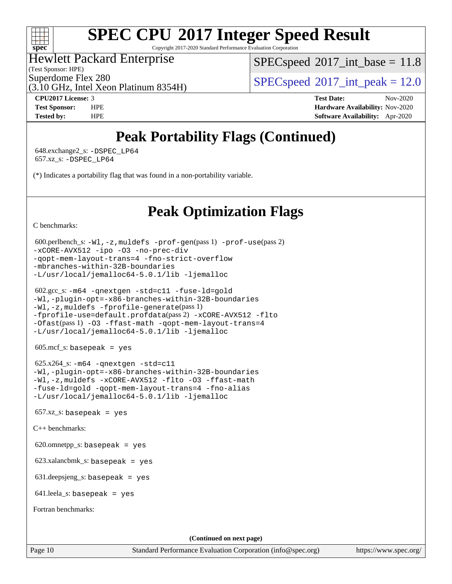### $+\ +$ **[spec](http://www.spec.org/)**

# **[SPEC CPU](http://www.spec.org/auto/cpu2017/Docs/result-fields.html#SPECCPU2017IntegerSpeedResult)[2017 Integer Speed Result](http://www.spec.org/auto/cpu2017/Docs/result-fields.html#SPECCPU2017IntegerSpeedResult)**

Copyright 2017-2020 Standard Performance Evaluation Corporation

### Hewlett Packard Enterprise

(Test Sponsor: HPE)

 $SPECspeed^{\circ}2017\_int\_base = 11.8$  $SPECspeed^{\circ}2017\_int\_base = 11.8$ 

Superdome Flex 280<br>  $SPECspeed^{\circ}2017$  $SPECspeed^{\circ}2017$  int\_peak = 12.0

(3.10 GHz, Intel Xeon Platinum 8354H)

**[CPU2017 License:](http://www.spec.org/auto/cpu2017/Docs/result-fields.html#CPU2017License)** 3 **[Test Date:](http://www.spec.org/auto/cpu2017/Docs/result-fields.html#TestDate)** Nov-2020 **[Test Sponsor:](http://www.spec.org/auto/cpu2017/Docs/result-fields.html#TestSponsor)** HPE **[Hardware Availability:](http://www.spec.org/auto/cpu2017/Docs/result-fields.html#HardwareAvailability)** Nov-2020 **[Tested by:](http://www.spec.org/auto/cpu2017/Docs/result-fields.html#Testedby)** HPE **[Software Availability:](http://www.spec.org/auto/cpu2017/Docs/result-fields.html#SoftwareAvailability)** Apr-2020

## **[Peak Portability Flags \(Continued\)](http://www.spec.org/auto/cpu2017/Docs/result-fields.html#PeakPortabilityFlags)**

 648.exchange2\_s: [-DSPEC\\_LP64](http://www.spec.org/cpu2017/results/res2020q4/cpu2017-20201123-24432.flags.html#suite_peakPORTABILITY648_exchange2_s_DSPEC_LP64) 657.xz\_s: [-DSPEC\\_LP64](http://www.spec.org/cpu2017/results/res2020q4/cpu2017-20201123-24432.flags.html#suite_peakPORTABILITY657_xz_s_DSPEC_LP64)

(\*) Indicates a portability flag that was found in a non-portability variable.

## **[Peak Optimization Flags](http://www.spec.org/auto/cpu2017/Docs/result-fields.html#PeakOptimizationFlags)**

[C benchmarks](http://www.spec.org/auto/cpu2017/Docs/result-fields.html#Cbenchmarks):

```
 600.perlbench_s: -Wl,-z,muldefs -prof-gen(pass 1) -prof-use(pass 2)
-xCORE-AVX512 -ipo -O3 -no-prec-div
-qopt-mem-layout-trans=4 -fno-strict-overflow
-mbranches-within-32B-boundaries
-L/usr/local/jemalloc64-5.0.1/lib -ljemalloc
```

```
 602.gcc_s: -m64 -qnextgen -std=c11 -fuse-ld=gold
-Wl,-plugin-opt=-x86-branches-within-32B-boundaries
-Wl,-z,muldefs -fprofile-generate(pass 1)
-fprofile-use=default.profdata(pass 2) -xCORE-AVX512 -flto
-Ofast(pass 1) -O3 -ffast-math -qopt-mem-layout-trans=4
-L/usr/local/jemalloc64-5.0.1/lib -ljemalloc
```
605.mcf\_s: basepeak = yes

 $625.x264_s$ :  $-m64$  [-qnextgen](http://www.spec.org/cpu2017/results/res2020q4/cpu2017-20201123-24432.flags.html#user_peakCCLD625_x264_s_f-qnextgen) [-std=c11](http://www.spec.org/cpu2017/results/res2020q4/cpu2017-20201123-24432.flags.html#user_peakCCLD625_x264_s_std-icc-std_0e1c27790398a4642dfca32ffe6c27b5796f9c2d2676156f2e42c9c44eaad0c049b1cdb667a270c34d979996257aeb8fc440bfb01818dbc9357bd9d174cb8524) [-Wl,-plugin-opt=-x86-branches-within-32B-boundaries](http://www.spec.org/cpu2017/results/res2020q4/cpu2017-20201123-24432.flags.html#user_peakLDFLAGS625_x264_s_f-x86-branches-within-32B-boundaries_0098b4e4317ae60947b7b728078a624952a08ac37a3c797dfb4ffeb399e0c61a9dd0f2f44ce917e9361fb9076ccb15e7824594512dd315205382d84209e912f3) [-Wl,-z,muldefs](http://www.spec.org/cpu2017/results/res2020q4/cpu2017-20201123-24432.flags.html#user_peakEXTRA_LDFLAGS625_x264_s_link_force_multiple1_b4cbdb97b34bdee9ceefcfe54f4c8ea74255f0b02a4b23e853cdb0e18eb4525ac79b5a88067c842dd0ee6996c24547a27a4b99331201badda8798ef8a743f577) [-xCORE-AVX512](http://www.spec.org/cpu2017/results/res2020q4/cpu2017-20201123-24432.flags.html#user_peakCOPTIMIZE625_x264_s_f-xCORE-AVX512) [-flto](http://www.spec.org/cpu2017/results/res2020q4/cpu2017-20201123-24432.flags.html#user_peakCOPTIMIZE625_x264_s_f-flto) [-O3](http://www.spec.org/cpu2017/results/res2020q4/cpu2017-20201123-24432.flags.html#user_peakCOPTIMIZE625_x264_s_f-O3) [-ffast-math](http://www.spec.org/cpu2017/results/res2020q4/cpu2017-20201123-24432.flags.html#user_peakCOPTIMIZE625_x264_s_f-ffast-math) [-fuse-ld=gold](http://www.spec.org/cpu2017/results/res2020q4/cpu2017-20201123-24432.flags.html#user_peakCOPTIMIZE625_x264_s_f-fuse-ld_920b3586e2b8c6e0748b9c84fa9b744736ba725a32cab14ad8f3d4ad28eecb2f59d1144823d2e17006539a88734fe1fc08fc3035f7676166309105a78aaabc32) [-qopt-mem-layout-trans=4](http://www.spec.org/cpu2017/results/res2020q4/cpu2017-20201123-24432.flags.html#user_peakCOPTIMIZE625_x264_s_f-qopt-mem-layout-trans_fa39e755916c150a61361b7846f310bcdf6f04e385ef281cadf3647acec3f0ae266d1a1d22d972a7087a248fd4e6ca390a3634700869573d231a252c784941a8) [-fno-alias](http://www.spec.org/cpu2017/results/res2020q4/cpu2017-20201123-24432.flags.html#user_peakEXTRA_OPTIMIZE625_x264_s_f-no-alias_77dbac10d91cbfe898fbf4a29d1b29b694089caa623bdd1baccc9957d4edbe8d106c0b357e2748a65b44fc9e83d78098bb898077f3fe92f9faf24f7bd4a07ed7) [-L/usr/local/jemalloc64-5.0.1/lib](http://www.spec.org/cpu2017/results/res2020q4/cpu2017-20201123-24432.flags.html#user_peakEXTRA_LIBS625_x264_s_jemalloc_link_path64_1_cc289568b1a6c0fd3b62c91b824c27fcb5af5e8098e6ad028160d21144ef1b8aef3170d2acf0bee98a8da324cfe4f67d0a3d0c4cc4673d993d694dc2a0df248b) [-ljemalloc](http://www.spec.org/cpu2017/results/res2020q4/cpu2017-20201123-24432.flags.html#user_peakEXTRA_LIBS625_x264_s_jemalloc_link_lib_d1249b907c500fa1c0672f44f562e3d0f79738ae9e3c4a9c376d49f265a04b9c99b167ecedbf6711b3085be911c67ff61f150a17b3472be731631ba4d0471706)

 $657.xz$ \_s: basepeak = yes

[C++ benchmarks:](http://www.spec.org/auto/cpu2017/Docs/result-fields.html#CXXbenchmarks)

620.omnetpp\_s: basepeak = yes

623.xalancbmk\_s: basepeak = yes

631.deepsjeng\_s: basepeak = yes

641.leela\_s: basepeak = yes

[Fortran benchmarks](http://www.spec.org/auto/cpu2017/Docs/result-fields.html#Fortranbenchmarks):

**(Continued on next page)**